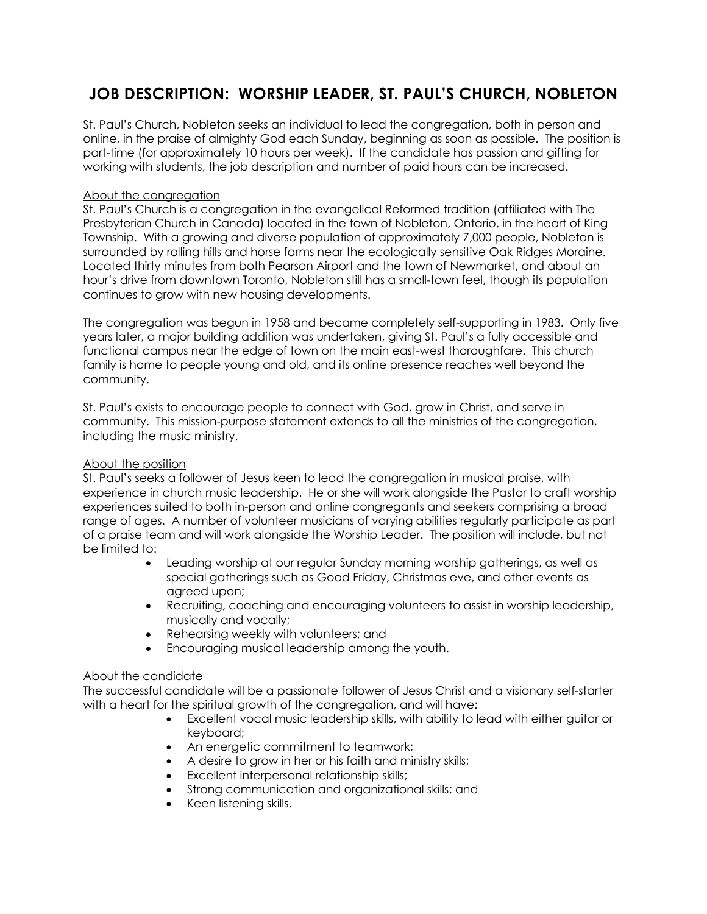# **JOB DESCRIPTION: WORSHIP LEADER, ST. PAUL'S CHURCH, NOBLETON**

St. Paul's Church, Nobleton seeks an individual to lead the congregation, both in person and online, in the praise of almighty God each Sunday, beginning as soon as possible. The position is part-time (for approximately 10 hours per week). If the candidate has passion and gifting for working with students, the job description and number of paid hours can be increased.

### About the congregation

St. Paul's Church is a congregation in the evangelical Reformed tradition (affiliated with The Presbyterian Church in Canada) located in the town of Nobleton, Ontario, in the heart of King Township. With a growing and diverse population of approximately 7,000 people, Nobleton is surrounded by rolling hills and horse farms near the ecologically sensitive Oak Ridges Moraine. Located thirty minutes from both Pearson Airport and the town of Newmarket, and about an hour's drive from downtown Toronto, Nobleton still has a small-town feel, though its population continues to grow with new housing developments.

The congregation was begun in 1958 and became completely self-supporting in 1983. Only five years later, a major building addition was undertaken, giving St. Paul's a fully accessible and functional campus near the edge of town on the main east-west thoroughfare. This church family is home to people young and old, and its online presence reaches well beyond the community.

St. Paul's exists to encourage people to connect with God, grow in Christ, and serve in community. This mission-purpose statement extends to all the ministries of the congregation, including the music ministry.

# About the position

St. Paul's seeks a follower of Jesus keen to lead the congregation in musical praise, with experience in church music leadership. He or she will work alongside the Pastor to craft worship experiences suited to both in-person and online congregants and seekers comprising a broad range of ages. A number of volunteer musicians of varying abilities regularly participate as part of a praise team and will work alongside the Worship Leader. The position will include, but not be limited to:

- Leading worship at our regular Sunday morning worship gatherings, as well as special gatherings such as Good Friday, Christmas eve, and other events as agreed upon;
- Recruiting, coaching and encouraging volunteers to assist in worship leadership, musically and vocally;
- Rehearsing weekly with volunteers; and
- Encouraging musical leadership among the youth.

#### About the candidate

The successful candidate will be a passionate follower of Jesus Christ and a visionary self-starter with a heart for the spiritual growth of the congregation, and will have:

- Excellent vocal music leadership skills, with ability to lead with either guitar or keyboard;
- An energetic commitment to teamwork;
- A desire to grow in her or his faith and ministry skills;
- Excellent interpersonal relationship skills;
- Strong communication and organizational skills; and
- Keen listening skills.